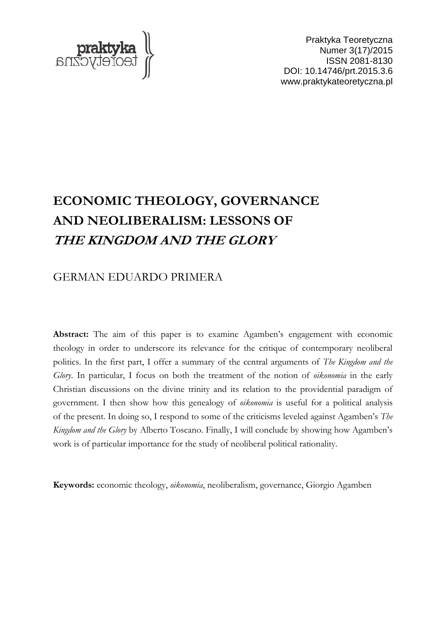

Praktyka Teoretyczna Numer 3(17)/2015 ISSN 2081-8130 DOI: 10.14746/prt.2015.3.6 www.praktykateoretyczna.pl

# **ECONOMIC THEOLOGY, GOVERNANCE AND NEOLIBERALISM: LESSONS OF THE KINGDOM AND THE GLORY**

## GERMAN EDUARDO PRIMERA

**Abstract:** The aim of this paper is to examine Agamben's engagement with economic theology in order to underscore its relevance for the critique of contemporary neoliberal politics. In the first part, I offer a summary of the central arguments of *The Kingdom and the Glory*. In particular, I focus on both the treatment of the notion of *oikonomia* in the early Christian discussions on the divine trinity and its relation to the providential paradigm of government. I then show how this genealogy of *oikonomia* is useful for a political analysis of the present. In doing so, I respond to some of the criticisms leveled against Agamben's *The Kingdom and the Glory* by Alberto Toscano. Finally, I will conclude by showing how Agamben's work is of particular importance for the study of neoliberal political rationality.

**Keywords:** economic theology, *oikonomia*, neoliberalism, governance, Giorgio Agamben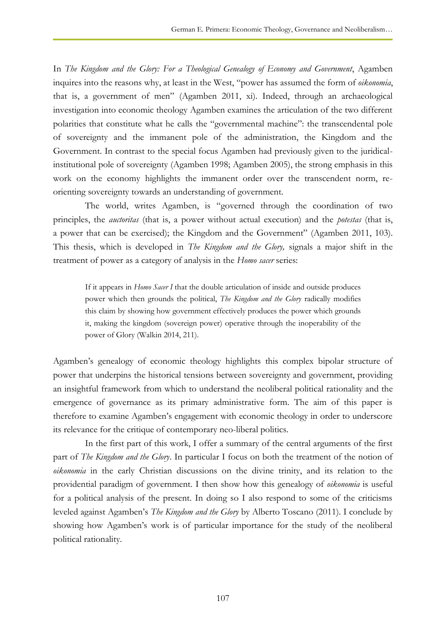In *The Kingdom and the Glory: For a Theological Genealogy of Economy and Government*, Agamben inquires into the reasons why, at least in the West, "power has assumed the form of *oikonomia*, that is, a government of men" (Agamben 2011, xi). Indeed, through an archaeological investigation into economic theology Agamben examines the articulation of the two different polarities that constitute what he calls the "governmental machine": the transcendental pole of sovereignty and the immanent pole of the administration, the Kingdom and the Government. In contrast to the special focus Agamben had previously given to the juridicalinstitutional pole of sovereignty (Agamben 1998; Agamben 2005), the strong emphasis in this work on the economy highlights the immanent order over the transcendent norm, reorienting sovereignty towards an understanding of government.

The world, writes Agamben, is "governed through the coordination of two principles, the *auctoritas* (that is, a power without actual execution) and the *potestas* (that is, a power that can be exercised); the Kingdom and the Government" (Agamben 2011, 103). This thesis, which is developed in *The Kingdom and the Glory,* signals a major shift in the treatment of power as a category of analysis in the *Homo sacer* series:

If it appears in *Homo Sacer I* that the double articulation of inside and outside produces power which then grounds the political, *The Kingdom and the Glory* radically modifies this claim by showing how government effectively produces the power which grounds it, making the kingdom (sovereign power) operative through the inoperability of the power of Glory (Walkin 2014, 211).

Agamben's genealogy of economic theology highlights this complex bipolar structure of power that underpins the historical tensions between sovereignty and government, providing an insightful framework from which to understand the neoliberal political rationality and the emergence of governance as its primary administrative form. The aim of this paper is therefore to examine Agamben's engagement with economic theology in order to underscore its relevance for the critique of contemporary neo-liberal politics.

In the first part of this work, I offer a summary of the central arguments of the first part of *The Kingdom and the Glory*. In particular I focus on both the treatment of the notion of *oikonomia* in the early Christian discussions on the divine trinity, and its relation to the providential paradigm of government. I then show how this genealogy of *oikonomia* is useful for a political analysis of the present. In doing so I also respond to some of the criticisms leveled against Agamben's *The Kingdom and the Glory* by Alberto Toscano (2011). I conclude by showing how Agamben's work is of particular importance for the study of the neoliberal political rationality.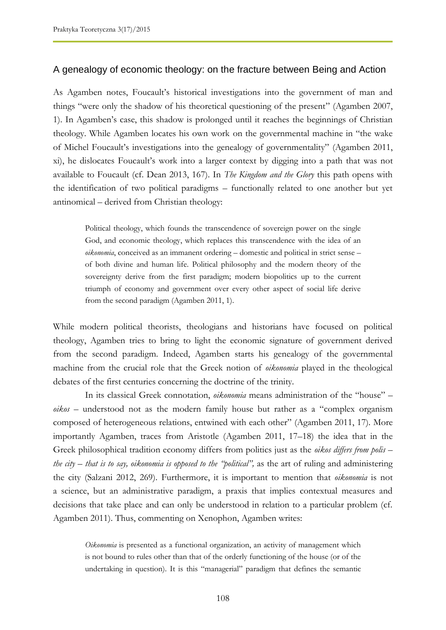### A genealogy of economic theology: on the fracture between Being and Action

As Agamben notes, Foucault's historical investigations into the government of man and things "were only the shadow of his theoretical questioning of the present" (Agamben 2007, 1). In Agamben's case, this shadow is prolonged until it reaches the beginnings of Christian theology. While Agamben locates his own work on the governmental machine in "the wake of Michel Foucault's investigations into the genealogy of governmentality" (Agamben 2011, xi), he dislocates Foucault's work into a larger context by digging into a path that was not available to Foucault (cf. Dean 2013, 167). In *The Kingdom and the Glory* this path opens with the identification of two political paradigms – functionally related to one another but yet antinomical – derived from Christian theology:

Political theology, which founds the transcendence of sovereign power on the single God, and economic theology, which replaces this transcendence with the idea of an *oikonomia*, conceived as an immanent ordering – domestic and political in strict sense – of both divine and human life. Political philosophy and the modern theory of the sovereignty derive from the first paradigm; modern biopolitics up to the current triumph of economy and government over every other aspect of social life derive from the second paradigm (Agamben 2011, 1).

While modern political theorists, theologians and historians have focused on political theology, Agamben tries to bring to light the economic signature of government derived from the second paradigm. Indeed, Agamben starts his genealogy of the governmental machine from the crucial role that the Greek notion of *oikonomia* played in the theological debates of the first centuries concerning the doctrine of the trinity.

In its classical Greek connotation, *oikonomia* means administration of the "house" – *oikos –* understood not as the modern family house but rather as a "complex organism composed of heterogeneous relations, entwined with each other" (Agamben 2011, 17). More importantly Agamben, traces from Aristotle (Agamben 2011, 17–18) the idea that in the Greek philosophical tradition economy differs from politics just as the *oikos differs from polis – the city – that is to say, oikonomia is opposed to the "political",* as the art of ruling and administering the city (Salzani 2012, 269). Furthermore, it is important to mention that *oikonomia* is not a science, but an administrative paradigm, a praxis that implies contextual measures and decisions that take place and can only be understood in relation to a particular problem (cf. Agamben 2011). Thus, commenting on Xenophon, Agamben writes:

*Oikonomia* is presented as a functional organization, an activity of management which is not bound to rules other than that of the orderly functioning of the house (or of the undertaking in question). It is this "managerial" paradigm that defines the semantic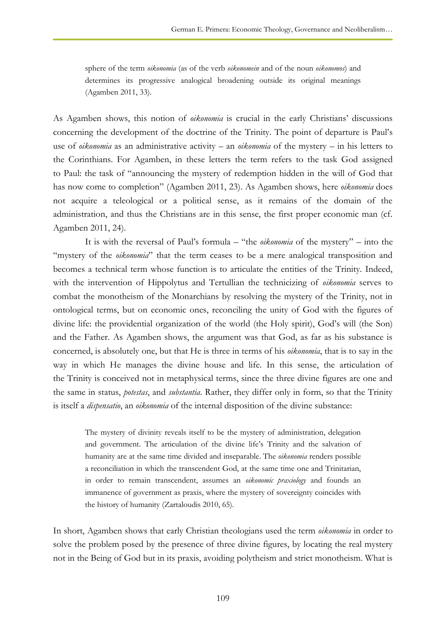sphere of the term *oikonomia* (as of the verb *oikonomein* and of the noun *oikonomos*) and determines its progressive analogical broadening outside its original meanings (Agamben 2011, 33).

As Agamben shows, this notion of *oikonomia* is crucial in the early Christians' discussions concerning the development of the doctrine of the Trinity. The point of departure is Paul's use of *oikonomia* as an administrative activity – an *oikonomia* of the mystery – in his letters to the Corinthians. For Agamben, in these letters the term refers to the task God assigned to Paul: the task of "announcing the mystery of redemption hidden in the will of God that has now come to completion" (Agamben 2011, 23). As Agamben shows, here *oikonomia* does not acquire a teleological or a political sense, as it remains of the domain of the administration, and thus the Christians are in this sense, the first proper economic man (cf. Agamben 2011, 24).

It is with the reversal of Paul's formula – "the *oikonomia* of the mystery" – into the "mystery of the *oikonomia*" that the term ceases to be a mere analogical transposition and becomes a technical term whose function is to articulate the entities of the Trinity. Indeed, with the intervention of Hippolytus and Tertullian the technicizing of *oikonomia* serves to combat the monotheism of the Monarchians by resolving the mystery of the Trinity, not in ontological terms, but on economic ones, reconciling the unity of God with the figures of divine life: the providential organization of the world (the Holy spirit), God's will (the Son) and the Father. As Agamben shows, the argument was that God, as far as his substance is concerned, is absolutely one, but that He is three in terms of his *oikonomia*, that is to say in the way in which He manages the divine house and life. In this sense, the articulation of the Trinity is conceived not in metaphysical terms, since the three divine figures are one and the same in status, *potestas*, and *substantia*. Rather, they differ only in form, so that the Trinity is itself a *dispensatio*, an *oikonomia* of the internal disposition of the divine substance:

The mystery of divinity reveals itself to be the mystery of administration, delegation and government. The articulation of the divine life's Trinity and the salvation of humanity are at the same time divided and inseparable. The *oikonomia* renders possible a reconciliation in which the transcendent God, at the same time one and Trinitarian, in order to remain transcendent, assumes an *oikonomic praxiology* and founds an immanence of government as praxis, where the mystery of sovereignty coincides with the history of humanity (Zartaloudis 2010, 65).

In short, Agamben shows that early Christian theologians used the term *oikonomia* in order to solve the problem posed by the presence of three divine figures, by locating the real mystery not in the Being of God but in its praxis, avoiding polytheism and strict monotheism. What is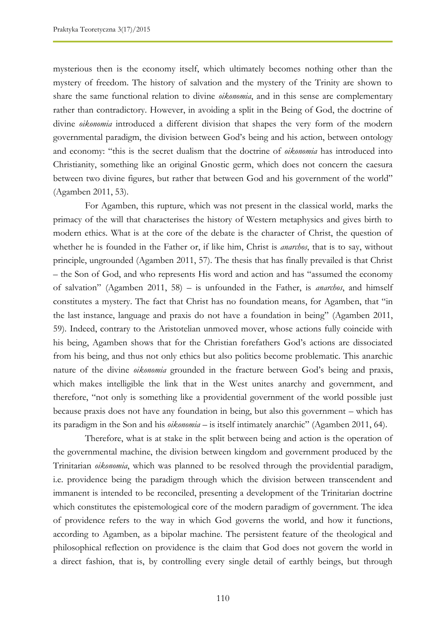mysterious then is the economy itself, which ultimately becomes nothing other than the mystery of freedom. The history of salvation and the mystery of the Trinity are shown to share the same functional relation to divine *oikonomia*, and in this sense are complementary rather than contradictory. However, in avoiding a split in the Being of God, the doctrine of divine *oikonomia* introduced a different division that shapes the very form of the modern governmental paradigm, the division between God's being and his action, between ontology and economy: "this is the secret dualism that the doctrine of *oikonomia* has introduced into Christianity, something like an original Gnostic germ, which does not concern the caesura between two divine figures, but rather that between God and his government of the world" (Agamben 2011, 53).

For Agamben, this rupture, which was not present in the classical world, marks the primacy of the will that characterises the history of Western metaphysics and gives birth to modern ethics. What is at the core of the debate is the character of Christ, the question of whether he is founded in the Father or, if like him, Christ is *anarchos*, that is to say, without principle, ungrounded (Agamben 2011, 57). The thesis that has finally prevailed is that Christ – the Son of God, and who represents His word and action and has "assumed the economy of salvation" (Agamben 2011, 58) – is unfounded in the Father, is *anarchos*, and himself constitutes a mystery. The fact that Christ has no foundation means, for Agamben, that "in the last instance, language and praxis do not have a foundation in being" (Agamben 2011, 59). Indeed, contrary to the Aristotelian unmoved mover, whose actions fully coincide with his being, Agamben shows that for the Christian forefathers God's actions are dissociated from his being, and thus not only ethics but also politics become problematic. This anarchic nature of the divine *oikonomia* grounded in the fracture between God's being and praxis, which makes intelligible the link that in the West unites anarchy and government, and therefore, "not only is something like a providential government of the world possible just because praxis does not have any foundation in being, but also this government – which has its paradigm in the Son and his *oikonomia* – is itself intimately anarchic" (Agamben 2011, 64).

Therefore, what is at stake in the split between being and action is the operation of the governmental machine, the division between kingdom and government produced by the Trinitarian *oikonomia*, which was planned to be resolved through the providential paradigm, i.e. providence being the paradigm through which the division between transcendent and immanent is intended to be reconciled, presenting a development of the Trinitarian doctrine which constitutes the epistemological core of the modern paradigm of government. The idea of providence refers to the way in which God governs the world, and how it functions, according to Agamben, as a bipolar machine. The persistent feature of the theological and philosophical reflection on providence is the claim that God does not govern the world in a direct fashion, that is, by controlling every single detail of earthly beings, but through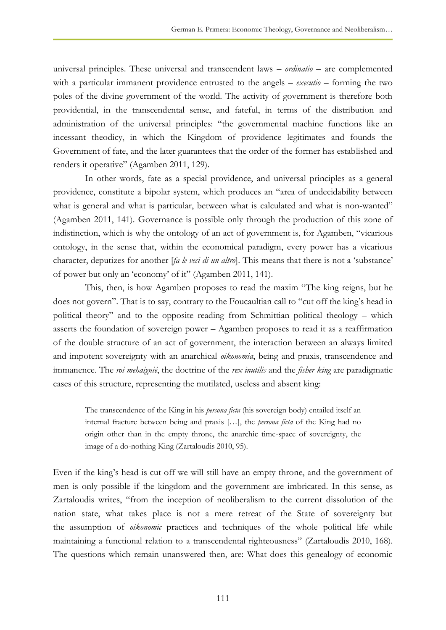universal principles. These universal and transcendent laws – *ordinatio* – are complemented with a particular immanent providence entrusted to the angels – *executio* – forming the two poles of the divine government of the world. The activity of government is therefore both providential, in the transcendental sense, and fateful, in terms of the distribution and administration of the universal principles: "the governmental machine functions like an incessant theodicy, in which the Kingdom of providence legitimates and founds the Government of fate, and the later guarantees that the order of the former has established and renders it operative" (Agamben 2011, 129).

In other words, fate as a special providence, and universal principles as a general providence, constitute a bipolar system, which produces an "area of undecidability between what is general and what is particular, between what is calculated and what is non-wanted" (Agamben 2011, 141). Governance is possible only through the production of this zone of indistinction, which is why the ontology of an act of government is, for Agamben, "vicarious ontology, in the sense that, within the economical paradigm, every power has a vicarious character, deputizes for another [*fa le veci di un altro*]. This means that there is not a 'substance' of power but only an 'economy' of it" (Agamben 2011, 141).

This, then, is how Agamben proposes to read the maxim "The king reigns, but he does not govern". That is to say, contrary to the Foucaultian call to "cut off the king's head in political theory" and to the opposite reading from Schmittian political theology – which asserts the foundation of sovereign power – Agamben proposes to read it as a reaffirmation of the double structure of an act of government, the interaction between an always limited and impotent sovereignty with an anarchical *oikonomia*, being and praxis, transcendence and immanence. The *roi mehaignié*, the doctrine of the *rex inutilis* and the *fisher king* are paradigmatic cases of this structure, representing the mutilated, useless and absent king:

The transcendence of the King in his *persona ficta* (his sovereign body) entailed itself an internal fracture between being and praxis […], the *persona ficta* of the King had no origin other than in the empty throne, the anarchic time-space of sovereignty, the image of a do-nothing King (Zartaloudis 2010, 95).

Even if the king's head is cut off we will still have an empty throne, and the government of men is only possible if the kingdom and the government are imbricated. In this sense, as Zartaloudis writes, "from the inception of neoliberalism to the current dissolution of the nation state, what takes place is not a mere retreat of the State of sovereignty but the assumption of *oikonomic* practices and techniques of the whole political life while maintaining a functional relation to a transcendental righteousness" (Zartaloudis 2010, 168). The questions which remain unanswered then, are: What does this genealogy of economic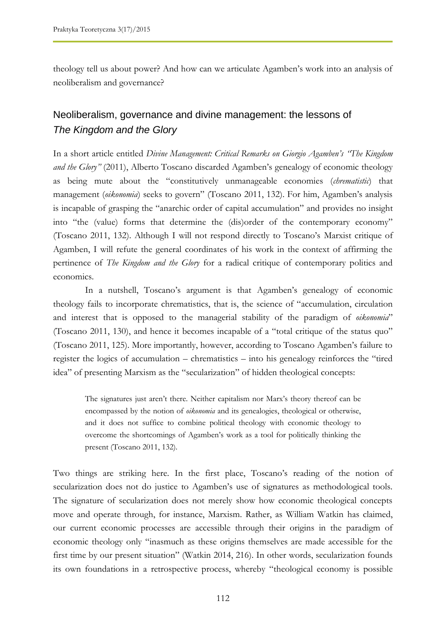theology tell us about power? And how can we articulate Agamben's work into an analysis of neoliberalism and governance?

# Neoliberalism, governance and divine management: the lessons of *The Kingdom and the Glory*

In a short article entitled *Divine Management: Critical Remarks on Giorgio Agamben's "The Kingdom and the Glory"* (2011), Alberto Toscano discarded Agamben's genealogy of economic theology as being mute about the "constitutively unmanageable economies (*chrematistic*) that management (*oikonomia*) seeks to govern" (Toscano 2011, 132). For him, Agamben's analysis is incapable of grasping the "anarchic order of capital accumulation" and provides no insight into "the (value) forms that determine the (dis)order of the contemporary economy" (Toscano 2011, 132). Although I will not respond directly to Toscano's Marxist critique of Agamben, I will refute the general coordinates of his work in the context of affirming the pertinence of *The Kingdom and the Glory* for a radical critique of contemporary politics and economics.

In a nutshell, Toscano's argument is that Agamben's genealogy of economic theology fails to incorporate chrematistics, that is, the science of "accumulation, circulation and interest that is opposed to the managerial stability of the paradigm of *oikonomia*" (Toscano 2011, 130), and hence it becomes incapable of a "total critique of the status quo" (Toscano 2011, 125). More importantly, however, according to Toscano Agamben's failure to register the logics of accumulation – chrematistics – into his genealogy reinforces the "tired idea" of presenting Marxism as the "secularization" of hidden theological concepts:

The signatures just aren't there. Neither capitalism nor Marx's theory thereof can be encompassed by the notion of *oikonomia* and its genealogies, theological or otherwise, and it does not suffice to combine political theology with economic theology to overcome the shortcomings of Agamben's work as a tool for politically thinking the present (Toscano 2011, 132).

Two things are striking here. In the first place, Toscano's reading of the notion of secularization does not do justice to Agamben's use of signatures as methodological tools. The signature of secularization does not merely show how economic theological concepts move and operate through, for instance, Marxism. Rather, as William Watkin has claimed, our current economic processes are accessible through their origins in the paradigm of economic theology only "inasmuch as these origins themselves are made accessible for the first time by our present situation" (Watkin 2014, 216). In other words, secularization founds its own foundations in a retrospective process, whereby "theological economy is possible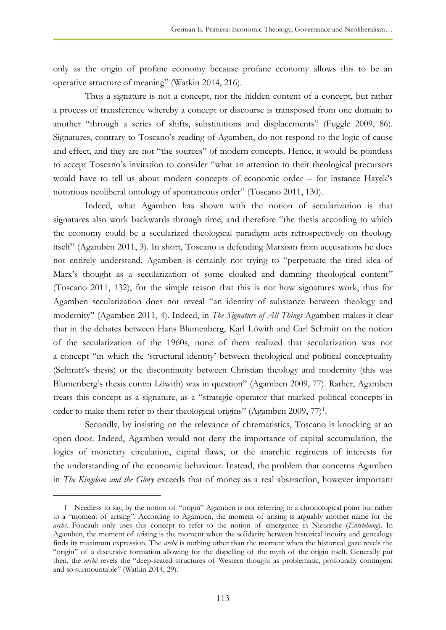only as the origin of profane economy because profane economy allows this to be an operative structure of meaning" (Watkin 2014, 216).

Thus a signature is not a concept, nor the hidden content of a concept, but rather a process of transference whereby a concept or discourse is transposed from one domain to another "through a series of shifts, substitutions and displacements" (Fuggle 2009, 86). Signatures, contrary to Toscano's reading of Agamben, do not respond to the logic of cause and effect, and they are not "the sources" of modern concepts. Hence, it would be pointless to accept Toscano's invitation to consider "what an attention to their theological precursors would have to tell us about modern concepts of economic order – for instance Hayek's notorious neoliberal ontology of spontaneous order" (Toscano 2011, 130).

Indeed, what Agamben has shown with the notion of secularization is that signatures also work backwards through time, and therefore "the thesis according to which the economy could be a secularized theological paradigm acts retrospectively on theology itself" (Agamben 2011, 3). In short, Toscano is defending Marxism from accusations he does not entirely understand. Agamben is certainly not trying to "perpetuate the tired idea of Marx's thought as a secularization of some cloaked and damning theological content" (Toscano 2011, 132), for the simple reason that this is not how signatures work, thus for Agamben secularization does not reveal "an identity of substance between theology and modernity" (Agamben 2011, 4). Indeed, in *The Signature of All Things* Agamben makes it clear that in the debates between Hans Blumenberg, Karl Löwith and Carl Schmitt on the notion of the secularization of the 1960s, none of them realized that secularization was not a concept "in which the 'structural identity' between theological and political conceptuality (Schmitt's thesis) or the discontinuity between Christian theology and modernity (this was Blumenberg's thesis contra Löwith) was in question" (Agamben 2009, 77). Rather, Agamben treats this concept as a signature, as a "strategic operator that marked political concepts in order to make them refer to their theological origins" (Agamben 2009, 77)<sup>1</sup>.

Secondly, by insisting on the relevance of chrematistics, Toscano is knocking at an open door. Indeed, Agamben would not deny the importance of capital accumulation, the logics of monetary circulation, capital flaws, or the anarchic regimens of interests for the understanding of the economic behaviour. Instead, the problem that concerns Agamben in *The Kingdom and the Glory* exceeds that of money as a real abstraction, however important

 $\overline{a}$ 

<sup>1</sup> Needless to say, by the notion of "origin" Agamben is not referring to a chronological point but rather to a "moment of arising". According to Agamben, the moment of arising is arguably another name for the *archē*. Foucault only uses this concept to refer to the notion of emergence in Nietzsche (*Entstehung*). In Agamben, the moment of arising is the moment when the solidarity between historical inquiry and genealogy finds its maximum expression. The *archē* is nothing other than the moment when the historical gaze revels the "origin" of a discursive formation allowing for the dispelling of the myth of the origin itself. Generally put then, the *archē* revels the "deep-seated structures of Western thought as problematic, profoundly contingent and so surmountable" (Watkin 2014, 29).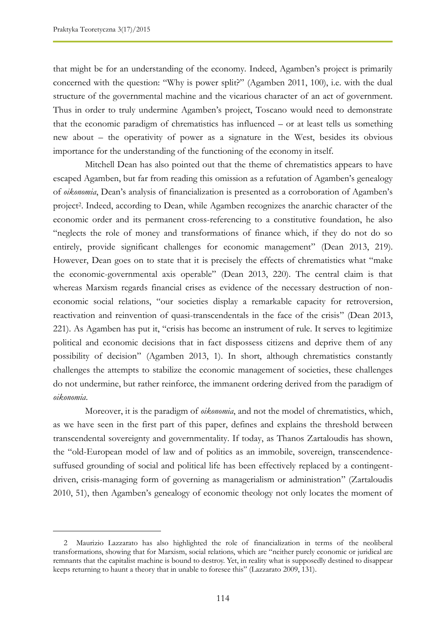$\overline{a}$ 

that might be for an understanding of the economy. Indeed, Agamben's project is primarily concerned with the question: "Why is power split?" (Agamben 2011, 100), i.e. with the dual structure of the governmental machine and the vicarious character of an act of government. Thus in order to truly undermine Agamben's project, Toscano would need to demonstrate that the economic paradigm of chrematistics has influenced – or at least tells us something new about – the operativity of power as a signature in the West, besides its obvious importance for the understanding of the functioning of the economy in itself.

Mitchell Dean has also pointed out that the theme of chrematistics appears to have escaped Agamben, but far from reading this omission as a refutation of Agamben's genealogy of *oikonomia*, Dean's analysis of financialization is presented as a corroboration of Agamben's project<sup>2</sup>. Indeed, according to Dean, while Agamben recognizes the anarchic character of the economic order and its permanent cross-referencing to a constitutive foundation, he also "neglects the role of money and transformations of finance which, if they do not do so entirely, provide significant challenges for economic management" (Dean 2013, 219). However, Dean goes on to state that it is precisely the effects of chrematistics what "make the economic-governmental axis operable" (Dean 2013, 220). The central claim is that whereas Marxism regards financial crises as evidence of the necessary destruction of noneconomic social relations, "our societies display a remarkable capacity for retroversion, reactivation and reinvention of quasi-transcendentals in the face of the crisis" (Dean 2013, 221). As Agamben has put it, "crisis has become an instrument of rule. It serves to legitimize political and economic decisions that in fact dispossess citizens and deprive them of any possibility of decision" (Agamben 2013, 1). In short, although chrematistics constantly challenges the attempts to stabilize the economic management of societies, these challenges do not undermine, but rather reinforce, the immanent ordering derived from the paradigm of *oikonomia*.

Moreover, it is the paradigm of *oikonomia*, and not the model of chrematistics, which, as we have seen in the first part of this paper, defines and explains the threshold between transcendental sovereignty and governmentality. If today, as Thanos Zartaloudis has shown, the "old-European model of law and of politics as an immobile, sovereign, transcendencesuffused grounding of social and political life has been effectively replaced by a contingentdriven, crisis-managing form of governing as managerialism or administration" (Zartaloudis 2010, 51), then Agamben's genealogy of economic theology not only locates the moment of

<sup>2</sup> Maurizio Lazzarato has also highlighted the role of financialization in terms of the neoliberal transformations, showing that for Marxism, social relations, which are "neither purely economic or juridical are remnants that the capitalist machine is bound to destroy. Yet, in reality what is supposedly destined to disappear keeps returning to haunt a theory that in unable to foresee this" (Lazzarato 2009, 131).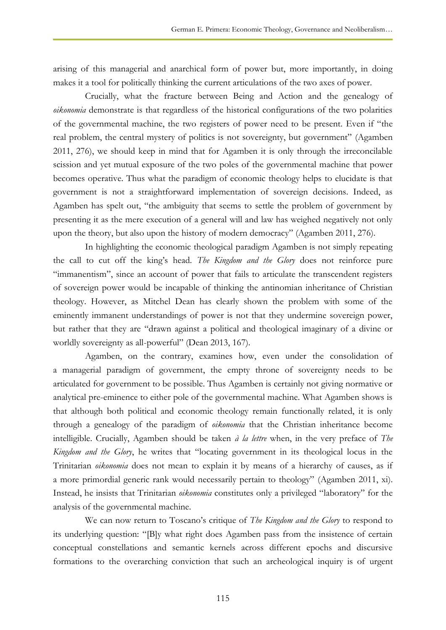arising of this managerial and anarchical form of power but, more importantly, in doing makes it a tool for politically thinking the current articulations of the two axes of power.

Crucially, what the fracture between Being and Action and the genealogy of *oikonomia* demonstrate is that regardless of the historical configurations of the two polarities of the governmental machine, the two registers of power need to be present. Even if "the real problem, the central mystery of politics is not sovereignty, but government" (Agamben 2011, 276), we should keep in mind that for Agamben it is only through the irreconcilable scission and yet mutual exposure of the two poles of the governmental machine that power becomes operative. Thus what the paradigm of economic theology helps to elucidate is that government is not a straightforward implementation of sovereign decisions. Indeed, as Agamben has spelt out, "the ambiguity that seems to settle the problem of government by presenting it as the mere execution of a general will and law has weighed negatively not only upon the theory, but also upon the history of modern democracy" (Agamben 2011, 276).

In highlighting the economic theological paradigm Agamben is not simply repeating the call to cut off the king's head. *The Kingdom and the Glory* does not reinforce pure "immanentism", since an account of power that fails to articulate the transcendent registers of sovereign power would be incapable of thinking the antinomian inheritance of Christian theology. However, as Mitchel Dean has clearly shown the problem with some of the eminently immanent understandings of power is not that they undermine sovereign power, but rather that they are "drawn against a political and theological imaginary of a divine or worldly sovereignty as all-powerful" (Dean 2013, 167).

Agamben, on the contrary, examines how, even under the consolidation of a managerial paradigm of government, the empty throne of sovereignty needs to be articulated for government to be possible. Thus Agamben is certainly not giving normative or analytical pre-eminence to either pole of the governmental machine. What Agamben shows is that although both political and economic theology remain functionally related, it is only through a genealogy of the paradigm of *oikonomia* that the Christian inheritance become intelligible. Crucially, Agamben should be taken *à la lettre* when, in the very preface of *The Kingdom and the Glory*, he writes that "locating government in its theological locus in the Trinitarian *oikonomia* does not mean to explain it by means of a hierarchy of causes, as if a more primordial generic rank would necessarily pertain to theology" (Agamben 2011, xi). Instead, he insists that Trinitarian *oikonomia* constitutes only a privileged "laboratory" for the analysis of the governmental machine.

We can now return to Toscano's critique of *The Kingdom and the Glory* to respond to its underlying question: "[B]y what right does Agamben pass from the insistence of certain conceptual constellations and semantic kernels across different epochs and discursive formations to the overarching conviction that such an archeological inquiry is of urgent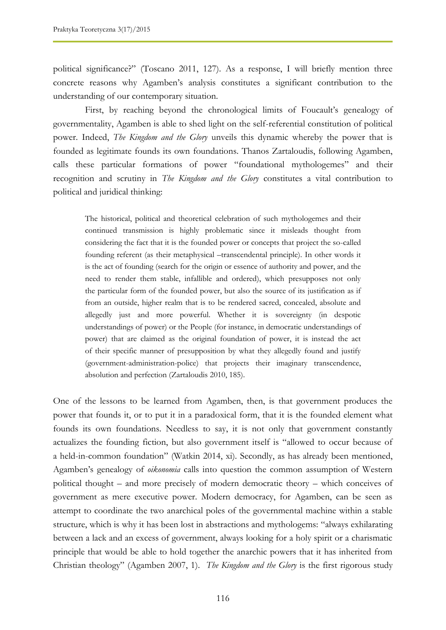political significance?" (Toscano 2011, 127). As a response, I will briefly mention three concrete reasons why Agamben's analysis constitutes a significant contribution to the understanding of our contemporary situation.

First, by reaching beyond the chronological limits of Foucault's genealogy of governmentality, Agamben is able to shed light on the self-referential constitution of political power. Indeed, *The Kingdom and the Glory* unveils this dynamic whereby the power that is founded as legitimate founds its own foundations. Thanos Zartaloudis, following Agamben, calls these particular formations of power "foundational mythologemes" and their recognition and scrutiny in *The Kingdom and the Glory* constitutes a vital contribution to political and juridical thinking:

The historical, political and theoretical celebration of such mythologemes and their continued transmission is highly problematic since it misleads thought from considering the fact that it is the founded power or concepts that project the so-called founding referent (as their metaphysical –transcendental principle). In other words it is the act of founding (search for the origin or essence of authority and power, and the need to render them stable, infallible and ordered), which presupposes not only the particular form of the founded power, but also the source of its justification as if from an outside, higher realm that is to be rendered sacred, concealed, absolute and allegedly just and more powerful. Whether it is sovereignty (in despotic understandings of power) or the People (for instance, in democratic understandings of power) that are claimed as the original foundation of power, it is instead the act of their specific manner of presupposition by what they allegedly found and justify (government-administration-police) that projects their imaginary transcendence, absolution and perfection (Zartaloudis 2010, 185).

One of the lessons to be learned from Agamben, then, is that government produces the power that founds it, or to put it in a paradoxical form, that it is the founded element what founds its own foundations. Needless to say, it is not only that government constantly actualizes the founding fiction, but also government itself is "allowed to occur because of a held-in-common foundation" (Watkin 2014, xi). Secondly, as has already been mentioned, Agamben's genealogy of *oikonomia* calls into question the common assumption of Western political thought – and more precisely of modern democratic theory – which conceives of government as mere executive power. Modern democracy, for Agamben, can be seen as attempt to coordinate the two anarchical poles of the governmental machine within a stable structure, which is why it has been lost in abstractions and mythologems: "always exhilarating between a lack and an excess of government, always looking for a holy spirit or a charismatic principle that would be able to hold together the anarchic powers that it has inherited from Christian theology" (Agamben 2007, 1). *The Kingdom and the Glory* is the first rigorous study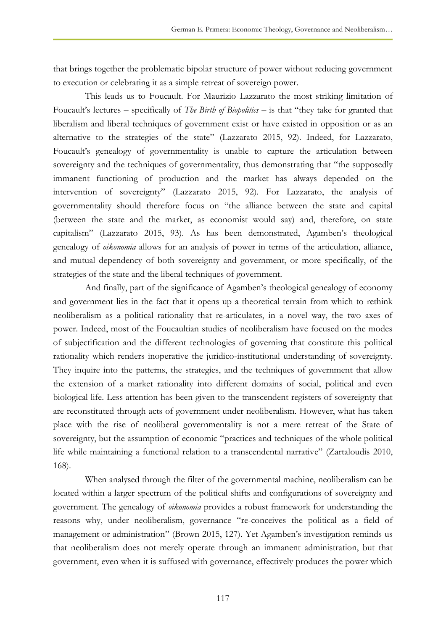that brings together the problematic bipolar structure of power without reducing government to execution or celebrating it as a simple retreat of sovereign power.

This leads us to Foucault. For Maurizio Lazzarato the most striking limitation of Foucault's lectures – specifically of *The Birth of Biopolitics –* is that "they take for granted that liberalism and liberal techniques of government exist or have existed in opposition or as an alternative to the strategies of the state" (Lazzarato 2015, 92). Indeed, for Lazzarato, Foucault's genealogy of governmentality is unable to capture the articulation between sovereignty and the techniques of governmentality, thus demonstrating that "the supposedly immanent functioning of production and the market has always depended on the intervention of sovereignty" (Lazzarato 2015, 92). For Lazzarato, the analysis of governmentality should therefore focus on "the alliance between the state and capital (between the state and the market, as economist would say) and, therefore, on state capitalism" (Lazzarato 2015, 93). As has been demonstrated, Agamben's theological genealogy of *oikonomia* allows for an analysis of power in terms of the articulation, alliance, and mutual dependency of both sovereignty and government, or more specifically, of the strategies of the state and the liberal techniques of government.

And finally, part of the significance of Agamben's theological genealogy of economy and government lies in the fact that it opens up a theoretical terrain from which to rethink neoliberalism as a political rationality that re-articulates, in a novel way, the two axes of power. Indeed, most of the Foucaultian studies of neoliberalism have focused on the modes of subjectification and the different technologies of governing that constitute this political rationality which renders inoperative the juridico-institutional understanding of sovereignty. They inquire into the patterns, the strategies, and the techniques of government that allow the extension of a market rationality into different domains of social, political and even biological life. Less attention has been given to the transcendent registers of sovereignty that are reconstituted through acts of government under neoliberalism. However, what has taken place with the rise of neoliberal governmentality is not a mere retreat of the State of sovereignty, but the assumption of economic "practices and techniques of the whole political life while maintaining a functional relation to a transcendental narrative" (Zartaloudis 2010, 168).

When analysed through the filter of the governmental machine, neoliberalism can be located within a larger spectrum of the political shifts and configurations of sovereignty and government. The genealogy of *oikonomia* provides a robust framework for understanding the reasons why, under neoliberalism, governance "re-conceives the political as a field of management or administration" (Brown 2015, 127). Yet Agamben's investigation reminds us that neoliberalism does not merely operate through an immanent administration, but that government, even when it is suffused with governance, effectively produces the power which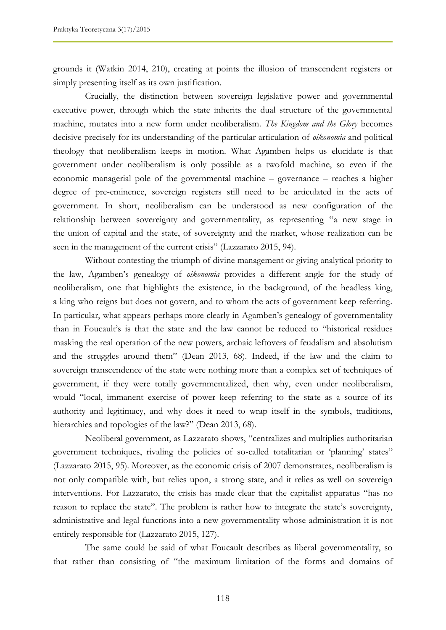grounds it (Watkin 2014, 210), creating at points the illusion of transcendent registers or simply presenting itself as its own justification.

Crucially, the distinction between sovereign legislative power and governmental executive power, through which the state inherits the dual structure of the governmental machine, mutates into a new form under neoliberalism. *The Kingdom and the Glory* becomes decisive precisely for its understanding of the particular articulation of *oikonomia* and political theology that neoliberalism keeps in motion. What Agamben helps us elucidate is that government under neoliberalism is only possible as a twofold machine, so even if the economic managerial pole of the governmental machine – governance – reaches a higher degree of pre-eminence, sovereign registers still need to be articulated in the acts of government. In short, neoliberalism can be understood as new configuration of the relationship between sovereignty and governmentality, as representing "a new stage in the union of capital and the state, of sovereignty and the market, whose realization can be seen in the management of the current crisis" (Lazzarato 2015, 94).

Without contesting the triumph of divine management or giving analytical priority to the law, Agamben's genealogy of *oikonomia* provides a different angle for the study of neoliberalism, one that highlights the existence, in the background, of the headless king, a king who reigns but does not govern, and to whom the acts of government keep referring. In particular, what appears perhaps more clearly in Agamben's genealogy of governmentality than in Foucault's is that the state and the law cannot be reduced to "historical residues masking the real operation of the new powers, archaic leftovers of feudalism and absolutism and the struggles around them" (Dean 2013, 68). Indeed, if the law and the claim to sovereign transcendence of the state were nothing more than a complex set of techniques of government, if they were totally governmentalized, then why, even under neoliberalism, would "local, immanent exercise of power keep referring to the state as a source of its authority and legitimacy, and why does it need to wrap itself in the symbols, traditions, hierarchies and topologies of the law?" (Dean 2013, 68).

Neoliberal government, as Lazzarato shows, "centralizes and multiplies authoritarian government techniques, rivaling the policies of so-called totalitarian or 'planning' states" (Lazzarato 2015, 95). Moreover, as the economic crisis of 2007 demonstrates, neoliberalism is not only compatible with, but relies upon, a strong state, and it relies as well on sovereign interventions. For Lazzarato, the crisis has made clear that the capitalist apparatus "has no reason to replace the state". The problem is rather how to integrate the state's sovereignty, administrative and legal functions into a new governmentality whose administration it is not entirely responsible for (Lazzarato 2015, 127).

The same could be said of what Foucault describes as liberal governmentality, so that rather than consisting of "the maximum limitation of the forms and domains of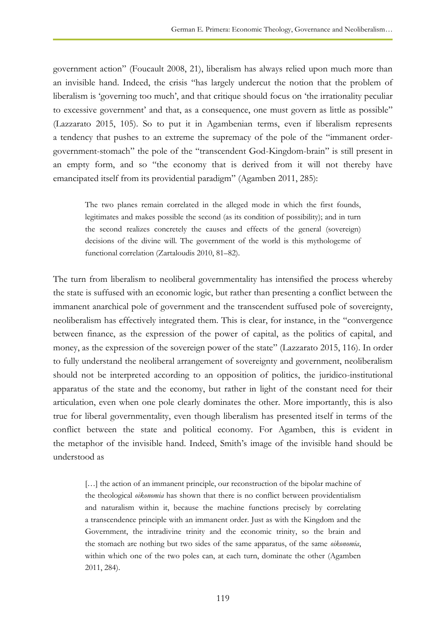government action" (Foucault 2008, 21), liberalism has always relied upon much more than an invisible hand. Indeed, the crisis "has largely undercut the notion that the problem of liberalism is 'governing too much', and that critique should focus on 'the irrationality peculiar to excessive government' and that, as a consequence, one must govern as little as possible" (Lazzarato 2015, 105). So to put it in Agambenian terms, even if liberalism represents a tendency that pushes to an extreme the supremacy of the pole of the "immanent ordergovernment-stomach" the pole of the "transcendent God-Kingdom-brain" is still present in an empty form, and so "the economy that is derived from it will not thereby have emancipated itself from its providential paradigm" (Agamben 2011, 285):

The two planes remain correlated in the alleged mode in which the first founds, legitimates and makes possible the second (as its condition of possibility); and in turn the second realizes concretely the causes and effects of the general (sovereign) decisions of the divine will. The government of the world is this mythologeme of functional correlation (Zartaloudis 2010, 81–82).

The turn from liberalism to neoliberal governmentality has intensified the process whereby the state is suffused with an economic logic, but rather than presenting a conflict between the immanent anarchical pole of government and the transcendent suffused pole of sovereignty, neoliberalism has effectively integrated them. This is clear, for instance, in the "convergence between finance, as the expression of the power of capital, as the politics of capital, and money, as the expression of the sovereign power of the state" (Lazzarato 2015, 116). In order to fully understand the neoliberal arrangement of sovereignty and government, neoliberalism should not be interpreted according to an opposition of politics, the juridico-institutional apparatus of the state and the economy, but rather in light of the constant need for their articulation, even when one pole clearly dominates the other. More importantly, this is also true for liberal governmentality, even though liberalism has presented itself in terms of the conflict between the state and political economy. For Agamben, this is evident in the metaphor of the invisible hand. Indeed, Smith's image of the invisible hand should be understood as

[...] the action of an immanent principle, our reconstruction of the bipolar machine of the theological *oikonomia* has shown that there is no conflict between providentialism and naturalism within it, because the machine functions precisely by correlating a transcendence principle with an immanent order. Just as with the Kingdom and the Government, the intradivine trinity and the economic trinity, so the brain and the stomach are nothing but two sides of the same apparatus, of the same *oikonomia*, within which one of the two poles can, at each turn, dominate the other (Agamben 2011, 284).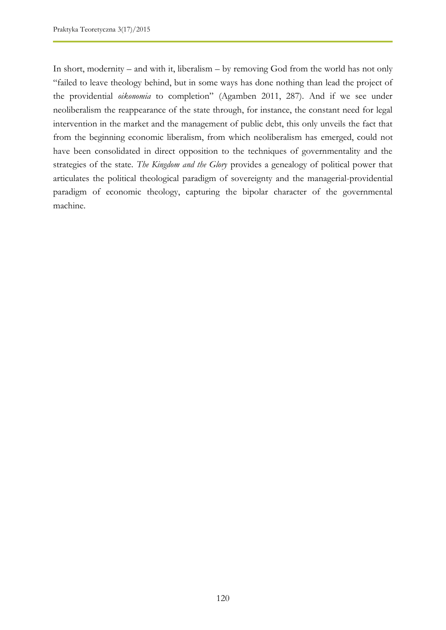In short, modernity – and with it, liberalism – by removing God from the world has not only "failed to leave theology behind, but in some ways has done nothing than lead the project of the providential *oikonomia* to completion" (Agamben 2011, 287). And if we see under neoliberalism the reappearance of the state through, for instance, the constant need for legal intervention in the market and the management of public debt, this only unveils the fact that from the beginning economic liberalism, from which neoliberalism has emerged, could not have been consolidated in direct opposition to the techniques of governmentality and the strategies of the state. *The Kingdom and the Glory* provides a genealogy of political power that articulates the political theological paradigm of sovereignty and the managerial-providential paradigm of economic theology, capturing the bipolar character of the governmental machine.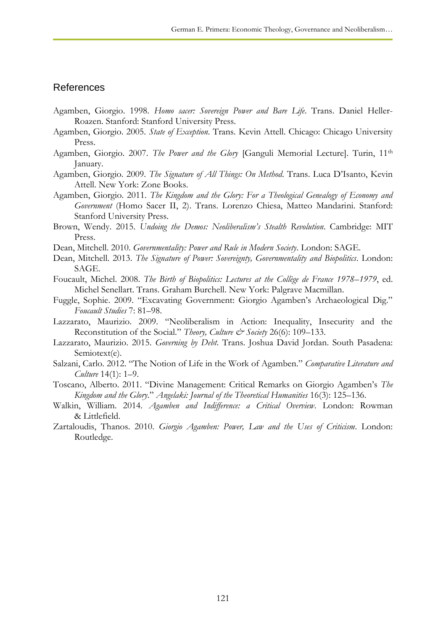#### References

- Agamben, Giorgio. 1998. *Homo sacer: Sovereign Power and Bare Life*. Trans. Daniel Heller-Roazen. Stanford: Stanford University Press.
- Agamben, Giorgio. 2005. *State of Exception*. Trans. Kevin Attell. Chicago: Chicago University Press.
- Agamben, Giorgio. 2007. *The Power and the Glory* [Ganguli Memorial Lecture]. Turin, 11th January.
- Agamben, Giorgio. 2009. *The Signature of All Things: On Method*. Trans. Luca D'Isanto, Kevin Attell. New York: Zone Books.
- Agamben, Giorgio. 2011. *The Kingdom and the Glory: For a Theological Genealogy of Economy and Government* (Homo Sacer II, 2). Trans. Lorenzo Chiesa, Matteo Mandarini. Stanford: Stanford University Press.
- Brown, Wendy. 2015. *Undoing the Demos: Neoliberalism's Stealth Revolution*. Cambridge: MIT Press.
- Dean, Mitchell. 2010. *Governmentality: Power and Rule in Modern Society*. London: SAGE.
- Dean, Mitchell. 2013. *The Signature of Power: Sovereignty, Governmentality and Biopolitics*. London: SAGE.
- Foucault, Michel. 2008. *The Birth of Biopolitics: Lectures at the Collège de France 1978–1979*, ed. Michel Senellart. Trans. Graham Burchell. New York: Palgrave Macmillan.
- Fuggle, Sophie. 2009. "Excavating Government: Giorgio Agamben's Archaeological Dig." *Foucault Studies* 7: 81–98.
- Lazzarato, Maurizio. 2009. "Neoliberalism in Action: Inequality, Insecurity and the Reconstitution of the Social." *Theory, Culture & Society* 26(6): 109-133.
- Lazzarato, Maurizio. 2015. *Governing by Debt*. Trans. Joshua David Jordan. South Pasadena: Semiotext(e).
- Salzani, Carlo. 2012. "The Notion of Life in the Work of Agamben." *Comparative Literature and Culture* 14(1): 1–9.
- Toscano, Alberto. 2011. "Divine Management: Critical Remarks on Giorgio Agamben's *The Kingdom and the Glory*." *Angelaki: Journal of the Theoretical Humanities* 16(3): 125–136.
- Walkin, William. 2014. *Agamben and Indifference: a Critical Overview*. London: Rowman & Littlefield.
- Zartaloudis, Thanos. 2010. *Giorgio Agamben: Power, Law and the Uses of Criticism*. London: Routledge.